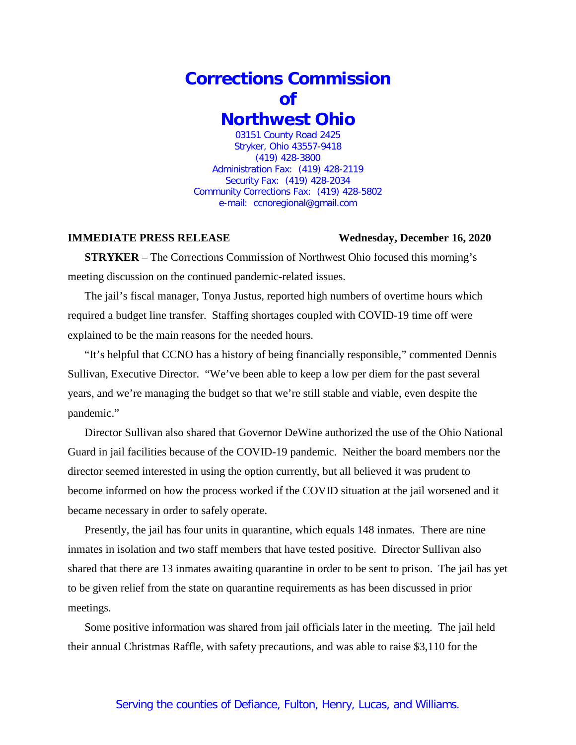## **Corrections Commission of Northwest Ohio** 03151 County Road 2425

Stryker, Ohio 43557-9418 (419) 428-3800 Administration Fax: (419) 428-2119 Security Fax: (419) 428-2034 Community Corrections Fax: (419) 428-5802 e-mail: ccnoregional@gmail.com

## **IMMEDIATE PRESS RELEASE Wednesday, December 16, 2020**

**STRYKER** – The Corrections Commission of Northwest Ohio focused this morning's meeting discussion on the continued pandemic-related issues.

The jail's fiscal manager, Tonya Justus, reported high numbers of overtime hours which required a budget line transfer. Staffing shortages coupled with COVID-19 time off were explained to be the main reasons for the needed hours.

"It's helpful that CCNO has a history of being financially responsible," commented Dennis Sullivan, Executive Director. "We've been able to keep a low per diem for the past several years, and we're managing the budget so that we're still stable and viable, even despite the pandemic."

Director Sullivan also shared that Governor DeWine authorized the use of the Ohio National Guard in jail facilities because of the COVID-19 pandemic. Neither the board members nor the director seemed interested in using the option currently, but all believed it was prudent to become informed on how the process worked if the COVID situation at the jail worsened and it became necessary in order to safely operate.

Presently, the jail has four units in quarantine, which equals 148 inmates. There are nine inmates in isolation and two staff members that have tested positive. Director Sullivan also shared that there are 13 inmates awaiting quarantine in order to be sent to prison. The jail has yet to be given relief from the state on quarantine requirements as has been discussed in prior meetings.

Some positive information was shared from jail officials later in the meeting. The jail held their annual Christmas Raffle, with safety precautions, and was able to raise \$3,110 for the

## Serving the counties of Defiance, Fulton, Henry, Lucas, and Williams.